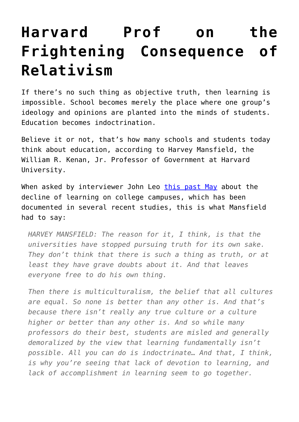## **[Harvard Prof on the](https://intellectualtakeout.org/2016/09/harvard-prof-on-the-frightening-consequence-of-relativism/) [Frightening Consequence of](https://intellectualtakeout.org/2016/09/harvard-prof-on-the-frightening-consequence-of-relativism/) [Relativism](https://intellectualtakeout.org/2016/09/harvard-prof-on-the-frightening-consequence-of-relativism/)**

If there's no such thing as objective truth, then learning is impossible. School becomes merely the place where one group's ideology and opinions are planted into the minds of students. Education becomes indoctrination.

Believe it or not, that's how many schools and students today think about education, according to Harvey Mansfield, the William R. Kenan, Jr. Professor of Government at Harvard University.

When asked by interviewer John Leo [this past May](http://www.mindingthecampus.org/2016/05/an-interview-with-harvards-harvey-mansfield/) about the decline of learning on college campuses, which has been documented in several recent studies, this is what Mansfield had to say:

*HARVEY MANSFIELD: The reason for it, I think, is that the universities have stopped pursuing truth for its own sake. They don't think that there is such a thing as truth, or at least they have grave doubts about it. And that leaves everyone free to do his own thing.* 

*Then there is multiculturalism, the belief that all cultures are equal. So none is better than any other is. And that's because there isn't really any true culture or a culture higher or better than any other is. And so while many professors do their best, students are misled and generally demoralized by the view that learning fundamentally isn't possible. All you can do is indoctrinate… And that, I think, is why you're seeing that lack of devotion to learning, and lack of accomplishment in learning seem to go together.*